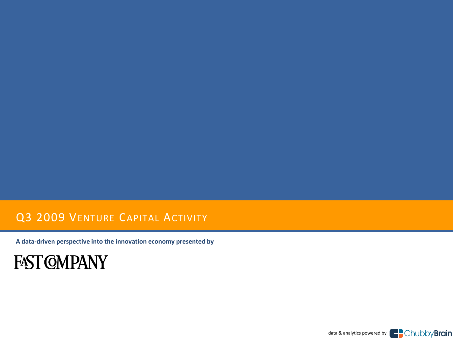## Q3 2009 VENTURE CAPITAL ACTIVITY

**A data-driven perspective into the innovation economy presented by**

## **FAST COMPANY**

data & analytics powered by **Example 3** Chubby **Brain**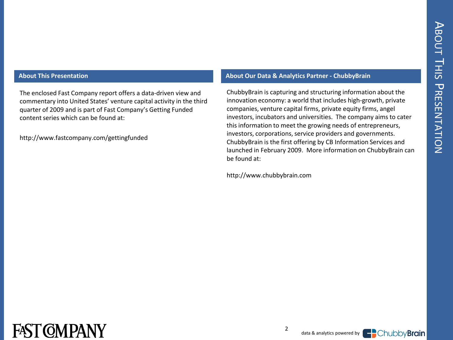The enclosed Fast Company report offers a data-driven view and commentary into United States' venture capital activity in the third quarter of 2009 and is part of Fast Company's Getting Funded content series which can be found at:

http://www.fastcompany.com/gettingfunded

#### **About This Presentation About Our Data & Analytics Partner - ChubbyBrain**

ChubbyBrain is capturing and structuring information about the innovation economy: a world that includes high-growth, private companies, venture capital firms, private equity firms, angel investors, incubators and universities. The company aims to cater this information to meet the growing needs of entrepreneurs, investors, corporations, service providers and governments. ChubbyBrain is the first offering by CB Information Services and launched in February 2009. More information on ChubbyBrain can be found at:

http://www.chubbybrain.com



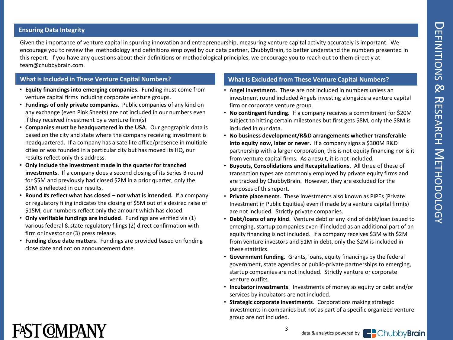#### **Ensuring Data Integrity**

Given the importance of venture capital in spurring innovation and entrepreneurship, measuring venture capital activity accurately is important. We encourage you to review the methodology and definitions employed by our data partner, ChubbyBrain, to better understand the numbers presented in this report. If you have any questions about their definitions or methodological principles, we encourage you to reach out to them directly at team@chubbybrain.com.

- **Equity financings into emerging companies.** Funding must come from venture capital firms including corporate venture groups.
- **Fundings of only private companies**. Public companies of any kind on any exchange (even Pink Sheets) are not included in our numbers even if they received investment by a venture firm(s)
- **Companies must be headquartered in the USA**. Our geographic data is based on the city and state where the company receiving investment is headquartered. If a company has a satellite office/presence in multiple cities or was founded in a particular city but has moved its HQ, our results reflect only this address.
- **Only include the investment made in the quarter for tranched investments**. If a company does a second closing of its Series B round for \$5M and previously had closed \$2M in a prior quarter, only the \$5M is reflected in our results.
- **Round #s reflect what has closed – not what is intended.** If a company or regulatory filing indicates the closing of \$5M out of a desired raise of \$15M, our numbers reflect only the amount which has closed.
- **Only verifiable fundings are included**. Fundings are verified via (1) various federal & state regulatory filings (2) direct confirmation with firm or investor or (3) press release.
- **Funding close date matters**. Fundings are provided based on funding close date and not on announcement date.

#### **What is Included in These Venture Capital Numbers? What Is Excluded from These Venture Capital Numbers?**

- **Angel investment.** These are not included in numbers unless an investment round included Angels investing alongside a venture capital firm or corporate venture group.
- **No contingent funding.** If a company receives a commitment for \$20M subject to hitting certain milestones but first gets \$8M, only the \$8M is included in our data.
- **No business development/R&D arrangements whether transferable into equity now, later or never.** If a company signs a \$300M R&D partnership with a larger corporation, this is not equity financing nor is it from venture capital firms. As a result, it is not included.
- **Buyouts, Consolidations and Recapitalizations.** All three of these of transaction types are commonly employed by private equity firms and are tracked by ChubbyBrain. However, they are excluded for the purposes of this report.
- **Private placements**. These investments also known as PIPEs (Private Investment in Public Equities) even if made by a venture capital firm(s) are not included. Strictly private companies.
- **Debt/loans of any kind**. Venture debt or any kind of debt/loan issued to emerging, startup companies even if included as an additional part of an equity financing is not included. If a company receives \$3M with \$2M from venture investors and \$1M in debt, only the \$2M is included in these statistics.
- **Government funding**. Grants, loans, equity financings by the federal government, state agencies or public-private partnerships to emerging, startup companies are not included. Strictly venture or corporate venture outfits.
- **Incubator investments**. Investments of money as equity or debt and/or services by incubators are not included.
- **Strategic corporate investments**. Corporations making strategic investments in companies but not as part of a specific organized venture group are not included.

3



data & analytics powered by

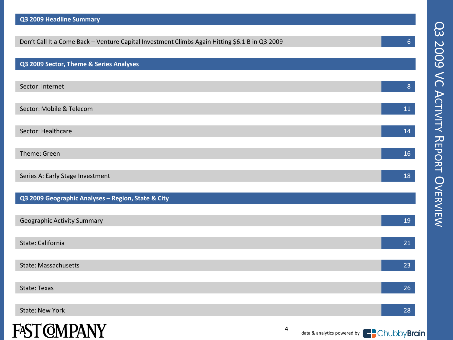| Don't Call It a Come Back - Venture Capital Investment Climbs Again Hitting \$6.1 B in Q3 2009 | $6 \overline{6}$ |
|------------------------------------------------------------------------------------------------|------------------|
|                                                                                                |                  |
| Q3 2009 Sector, Theme & Series Analyses                                                        |                  |
|                                                                                                |                  |
| Sector: Internet                                                                               | $\bf 8$          |
|                                                                                                |                  |
| Sector: Mobile & Telecom                                                                       | ${\bf 11}$       |
|                                                                                                |                  |
| Sector: Healthcare                                                                             | $14\,$           |
|                                                                                                |                  |
| Theme: Green                                                                                   | 16               |
| Series A: Early Stage Investment                                                               | 18               |
|                                                                                                |                  |
| Q3 2009 Geographic Analyses - Region, State & City                                             |                  |
|                                                                                                |                  |
| <b>Geographic Activity Summary</b>                                                             | 19               |
|                                                                                                |                  |
| State: California                                                                              | 21               |
|                                                                                                |                  |
| State: Massachusetts                                                                           | 23               |
|                                                                                                |                  |
| State: Texas                                                                                   | 26               |
|                                                                                                |                  |
| <b>State: New York</b>                                                                         | 28               |



**Q3 2009 Headline Summary**

4

data & analytics powered by **FO**Chubby **Brain**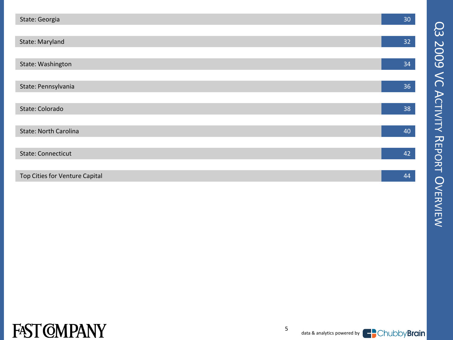| State: Georgia                 | 30 |
|--------------------------------|----|
|                                |    |
| State: Maryland                | 32 |
|                                |    |
| State: Washington              | 34 |
|                                |    |
| State: Pennsylvania            | 36 |
|                                |    |
| State: Colorado                | 38 |
|                                |    |
| <b>State: North Carolina</b>   | 40 |
|                                |    |
| <b>State: Connecticut</b>      | 42 |
|                                |    |
| Top Cities for Venture Capital | 44 |



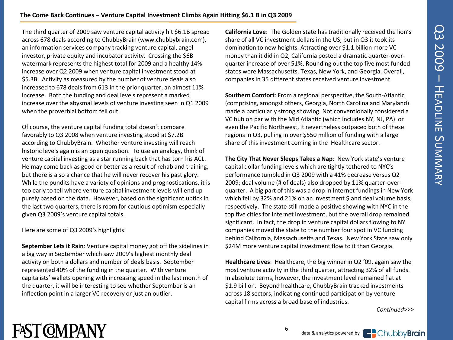#### **The Come Back Continues – Venture Capital Investment Climbs Again Hitting \$6.1 B in Q3 2009**

The third quarter of 2009 saw venture capital activity hit \$6.1B spread across 678 deals according to ChubbyBrain (www.chubbybrain.com), an information services company tracking venture capital, angel investor, private equity and incubator activity. Crossing the \$6B watermark represents the highest total for 2009 and a healthy 14% increase over Q2 2009 when venture capital investment stood at \$5.3B. Activity as measured by the number of venture deals also increased to 678 deals from 613 in the prior quarter, an almost 11% increase. Both the funding and deal levels represent a marked increase over the abysmal levels of venture investing seen in Q1 2009 when the proverbial bottom fell out.

Of course, the venture capital funding total doesn't compare favorably to Q3 2008 when venture investing stood at \$7.2B according to ChubbyBrain. Whether venture investing will reach historic levels again is an open question. To use an analogy, think of venture capital investing as a star running back that has torn his ACL. He may come back as good or better as a result of rehab and training, but there is also a chance that he will never recover his past glory. While the pundits have a variety of opinions and prognostications, it is too early to tell where venture capital investment levels will end up purely based on the data. However, based on the significant uptick in the last two quarters, there is room for cautious optimism especially given Q3 2009's venture capital totals.

Here are some of Q3 2009's highlights:

**September Lets it Rain**: Venture capital money got off the sidelines in a big way in September which saw 2009's highest monthly deal activity on both a dollars and number of deals basis. September represented 40% of the funding in the quarter. With venture capitalists' wallets opening with increasing speed in the last month of the quarter, it will be interesting to see whether September is an inflection point in a larger VC recovery or just an outlier.

**California Love**: The Golden state has traditionally received the lion's share of all VC investment dollars in the US, but in Q3 it took its domination to new heights. Attracting over \$1.1 billion more VC money than it did in Q2, California posted a dramatic quarter-overquarter increase of over 51%. Rounding out the top five most funded states were Massachusetts, Texas, New York, and Georgia. Overall, companies in 35 different states received venture investment.

**Southern Comfort**: From a regional perspective, the South-Atlantic (comprising, amongst others, Georgia, North Carolina and Maryland) made a particularly strong showing. Not conventionally considered a VC hub on par with the Mid Atlantic (which includes NY, NJ, PA) or even the Pacific Northwest, it nevertheless outpaced both of these regions in Q3, pulling in over \$550 million of funding with a large share of this investment coming in the Healthcare sector.

**The City That Never Sleeps Takes a Nap**: New York state's venture capital dollar funding levels which are tightly tethered to NYC's performance tumbled in Q3 2009 with a 41% decrease versus Q2 2009; deal volume (# of deals) also dropped by 11% quarter-overquarter. A big part of this was a drop in Internet fundings in New York which fell by 32% and 21% on an investment \$ and deal volume basis, respectively. The state still made a positive showing with NYC in the top five cities for Internet investment, but the overall drop remained significant. In fact, the drop in venture capital dollars flowing to NY companies moved the state to the number four spot in VC funding behind California, Massachusetts and Texas. New York State saw only \$24M more venture capital investment flow to it than Georgia.

**Healthcare Lives**: Healthcare, the big winner in Q2 '09, again saw the most venture activity in the third quarter, attracting 32% of all funds. In absolute terms, however, the investment level remained flat at \$1.9 billion. Beyond healthcare, ChubbyBrain tracked investments across 18 sectors, indicating continued participation by venture capital firms across a broad base of industries.

*Continued>>>*

## **FAST CMPANY**

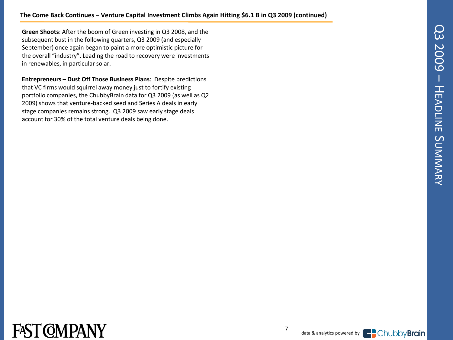**Green Shoots**: After the boom of Green investing in Q3 2008, and the subsequent bust in the following quarters, Q3 2009 (and especially September) once again began to paint a more optimistic picture for the overall "industry". Leading the road to recovery were investments in renewables, in particular solar.

**Entrepreneurs – Dust Off Those Business Plans**: Despite predictions that VC firms would squirrel away money just to fortify existing portfolio companies, the ChubbyBrain data for Q3 2009 (as well as Q2 2009) shows that venture-backed seed and Series A deals in early stage companies remains strong. Q3 2009 saw early stage deals account for 30% of the total venture deals being done.



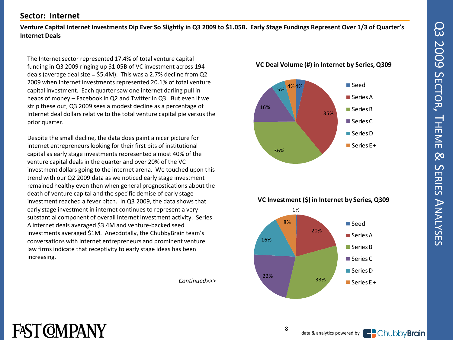#### **Sector: Internet**

**Venture Capital Internet Investments Dip Ever So Slightly in Q3 2009 to \$1.05B. Early Stage Fundings Represent Over 1/3 of Quarter's Internet Deals**

The Internet sector represented 17.4% of total venture capital funding in Q3 2009 ringing up \$1.05B of VC investment across 194 deals (average deal size = \$5.4M). This was a 2.7% decline from Q2 2009 when Internet investments represented 20.1% of total venture capital investment. Each quarter saw one internet darling pull in heaps of money – Facebook in Q2 and Twitter in Q3. But even if we strip these out, Q3 2009 sees a modest decline as a percentage of Internet deal dollars relative to the total venture capital pie versus the prior quarter.

Despite the small decline, the data does paint a nicer picture for internet entrepreneurs looking for their first bits of institutional capital as early stage investments represented almost 40% of the venture capital deals in the quarter and over 20% of the VC investment dollars going to the internet arena. We touched upon this trend with our Q2 2009 data as we noticed early stage investment remained healthy even then when general prognostications about the death of venture capital and the specific demise of early stage investment reached a fever pitch. In Q3 2009, the data shows that early stage investment in internet continues to represent a very substantial component of overall internet investment activity. Series A internet deals averaged \$3.4M and venture-backed seed investments averaged \$1M. Anecdotally, the ChubbyBrain team's conversations with internet entrepreneurs and prominent venture law firms indicate that receptivity to early stage ideas has been increasing.

*Continued>>>*







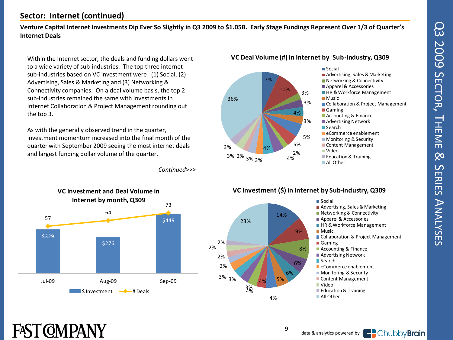### **Sector: Internet (continued)**

**Venture Capital Internet Investments Dip Ever So Slightly in Q3 2009 to \$1.05B. Early Stage Fundings Represent Over 1/3 of Quarter's Internet Deals**

Within the Internet sector, the deals and funding dollars went to a wide variety of sub-industries. The top three internet sub-industries based on VC investment were (1) Social, (2) Advertising, Sales & Marketing and (3) Networking & Connectivity companies. On a deal volume basis, the top 2 sub-industries remained the same with investments in Internet Collaboration & Project Management rounding out the top 3.

As with the generally observed trend in the quarter, investment momentum increased into the final month of the quarter with September 2009 seeing the most internet deals and largest funding dollar volume of the quarter.

*Continued>>>*



FAST COMPANY





#### **VC Investment (\$) in Internet by Sub-Industry, Q309**



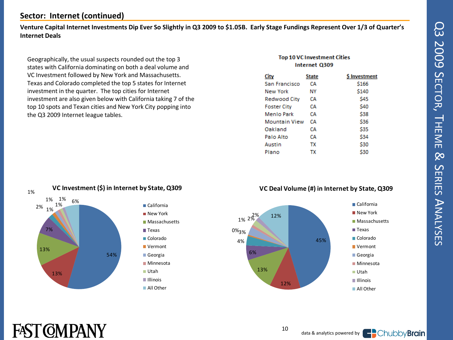### **Sector: Internet (continued)**

**Venture Capital Internet Investments Dip Ever So Slightly in Q3 2009 to \$1.05B. Early Stage Fundings Represent Over 1/3 of Quarter's Internet Deals**

Geographically, the usual suspects rounded out the top 3 states with California dominating on both a deal volume and VC Investment followed by New York and Massachusetts. Texas and Colorado completed the top 5 states for Internet investment in the quarter. The top cities for Internet investment are also given below with California taking 7 of the top 10 spots and Texan cities and New York City popping into the Q3 2009 Internet league tables.

#### **Top 10 VC Investment Cities** Internet Q309

| City          | State | <b>S</b> Investment |
|---------------|-------|---------------------|
| San Francisco | CА    | \$166               |
| New York      | NΥ    | \$140               |
| Redwood City  | CА    | S45                 |
| Foster City   | CА    | \$40                |
| Menlo Park    | CА    | \$38                |
| Mountain View | CА    | \$36                |
| Oakland       | CА    | \$35                |
| Palo Alto     | CА    | \$34                |
| Austin        | тх    | \$30                |
| Plano         | тх    | \$30                |
|               |       |                     |



#### **VC Deal Volume (#) in Internet by State, Q309**



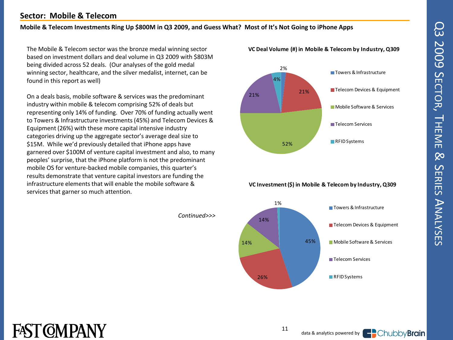# Q3 2009 SECTOR $\overline{\phantom{a}}$ HEME  $\infty$ ERIES  $\blacktriangleright$ NALYSES

### **Sector: Mobile & Telecom**

#### **Mobile & Telecom Investments Ring Up \$800M in Q3 2009, and Guess What? Most of It's Not Going to iPhone Apps**

*Continued>>>*

The Mobile & Telecom sector was the bronze medal winning sector based on investment dollars and deal volume in Q3 2009 with \$803M being divided across 52 deals. (Our analyses of the gold medal winning sector, healthcare, and the silver medalist, internet, can be found in this report as well)

On a deals basis, mobile software & services was the predominant industry within mobile & telecom comprising 52% of deals but representing only 14% of funding. Over 70% of funding actually went to Towers & Infrastructure investments (45%) and Telecom Devices & Equipment (26%) with these more capital intensive industry categories driving up the aggregate sector's average deal size to \$15M. While we'd previously detailed that iPhone apps have garnered over \$100M of venture capital investment and also, to many peoples' surprise, that the iPhone platform is not the predominant mobile OS for venture-backed mobile companies, this quarter's results demonstrate that venture capital investors are funding the infrastructure elements that will enable the mobile software & services that garner so much attention.



**VC Deal Volume (#) in Mobile & Telecom by Industry, Q309**

**VC Investment (\$) in Mobile & Telecom by Industry, Q309**





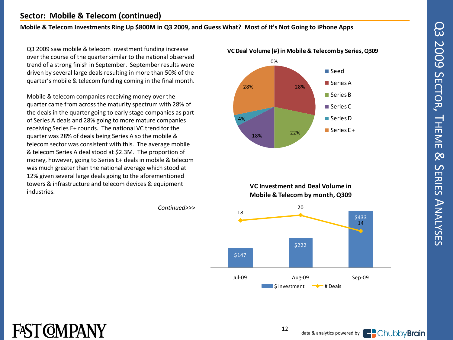#### **Sector: Mobile & Telecom (continued)**

#### **Mobile & Telecom Investments Ring Up \$800M in Q3 2009, and Guess What? Most of It's Not Going to iPhone Apps**

Q3 2009 saw mobile & telecom investment funding increase over the course of the quarter similar to the national observed trend of a strong finish in September. September results were driven by several large deals resulting in more than 50% of the quarter's mobile & telecom funding coming in the final month.

Mobile & telecom companies receiving money over the quarter came from across the maturity spectrum with 28% of the deals in the quarter going to early stage companies as part of Series A deals and 28% going to more mature companies receiving Series E+ rounds. The national VC trend for the quarter was 28% of deals being Series A so the mobile & telecom sector was consistent with this. The average mobile & telecom Series A deal stood at \$2.3M. The proportion of money, however, going to Series E+ deals in mobile & telecom was much greater than the national average which stood at 12% given several large deals going to the aforementioned towers & infrastructure and telecom devices & equipment industries.

FAST COMPANY



**VC Investment and Deal Volume in** 



*Continued>>>*

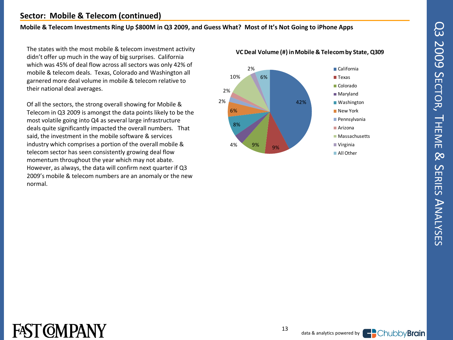#### **Sector: Mobile & Telecom (continued)**

#### **Mobile & Telecom Investments Ring Up \$800M in Q3 2009, and Guess What? Most of It's Not Going to iPhone Apps**

The states with the most mobile & telecom investment activity didn't offer up much in the way of big surprises. California which was 45% of deal flow across all sectors was only 42% of mobile & telecom deals. Texas, Colorado and Washington all garnered more deal volume in mobile & telecom relative to their national deal averages.

Of all the sectors, the strong overall showing for Mobile & Telecom in Q3 2009 is amongst the data points likely to be the most volatile going into Q4 as several large infrastructure deals quite significantly impacted the overall numbers. That said, the investment in the mobile software & services industry which comprises a portion of the overall mobile & telecom sector has seen consistently growing deal flow momentum throughout the year which may not abate. However, as always, the data will confirm next quarter if Q3 2009's mobile & telecom numbers are an anomaly or the new normal.



#### **VC Deal Volume (#) in Mobile & Telecom by State, Q309**



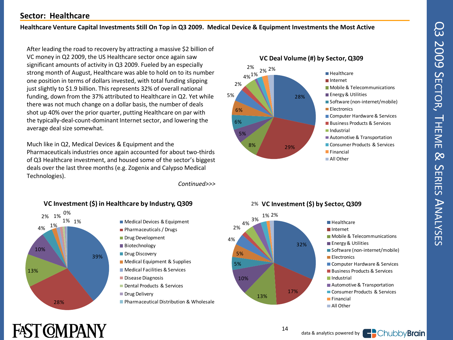#### **Sector: Healthcare**

#### **Healthcare Venture Capital Investments Still On Top in Q3 2009. Medical Device & Equipment Investments the Most Active**

After leading the road to recovery by attracting a massive \$2 billion of VC money in Q2 2009, the US Healthcare sector once again saw significant amounts of activity in Q3 2009. Fueled by an especially strong month of August, Healthcare was able to hold on to its number one position in terms of dollars invested, with total funding slipping just slightly to \$1.9 billion. This represents 32% of overall national funding, down from the 37% attributed to Healthcare in Q2. Yet while there was not much change on a dollar basis, the number of deals shot up 40% over the prior quarter, putting Healthcare on par with the typically-deal-count-dominant Internet sector, and lowering the average deal size somewhat.

Much like in Q2, Medical Devices & Equipment and the Pharmaceuticals industries once again accounted for about two-thirds of Q3 Healthcare investment, and housed some of the sector's biggest deals over the last three months (e.g. Zogenix and Calypso Medical Technologies).

*Continued>>>*

5 % 5 %

 $\begin{array}{c} 2 \\ 4 \% \end{array}$ 



#### **VC Investment (\$) in Healthcare by Industry, Q309**





## 2% **VC Investment (\$) by Sector, Q309**<br>1% 2%<br>**Healthcare**



## **FAST CMPANY**

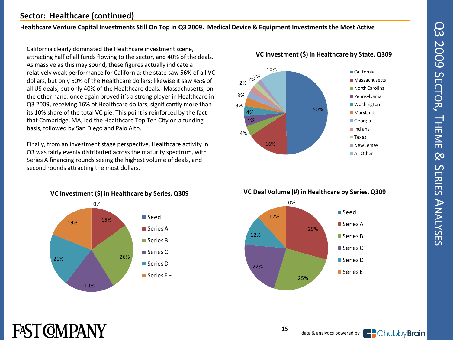### **Sector: Healthcare (continued)**

#### **Healthcare Venture Capital Investments Still On Top in Q3 2009. Medical Device & Equipment Investments the Most Active**

California clearly dominated the Healthcare investment scene, attracting half of all funds flowing to the sector, and 40% of the deals. As massive as this may sound, these figures actually indicate a relatively weak performance for California: the state saw 56% of all VC dollars, but only 50% of the Healthcare dollars; likewise it saw 45% of all US deals, but only 40% of the Healthcare deals. Massachusetts, on the other hand, once again proved it's a strong player in Healthcare in Q3 2009, receiving 16% of Healthcare dollars, significantly more than its 10% share of the total VC pie. This point is reinforced by the fact that Cambridge, MA, led the Healthcare Top Ten City on a funding basis, followed by San Diego and Palo Alto.

Finally, from an investment stage perspective, Healthcare activity in Q3 was fairly evenly distributed across the maturity spectrum, with Series A financing rounds seeing the highest volume of deals, and second rounds attracting the most dollars.



**FAST COMPANY** 



#### **VC Investment (\$) in Healthcare by State, Q309**



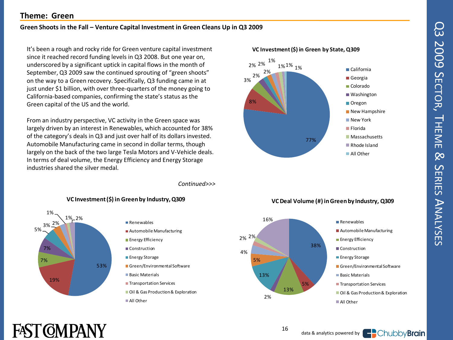#### **Theme: Green**

#### **Green Shoots in the Fall – Venture Capital Investment in Green Cleans Up in Q3 2009**

It's been a rough and rocky ride for Green venture capital investment since it reached record funding levels in Q3 2008. But one year on, underscored by a significant uptick in capital flows in the month of September, Q3 2009 saw the continued sprouting of "green shoots" on the way to a Green recovery. Specifically, Q3 funding came in at just under \$1 billion, with over three-quarters of the money going to California-based companies, confirming the state's status as the Green capital of the US and the world.

From an industry perspective, VC activity in the Green space was largely driven by an interest in Renewables, which accounted for 38% of the category's deals in Q3 and just over half of its dollars invested. Automobile Manufacturing came in second in dollar terms, though largely on the back of the two large Tesla Motors and V-Vehicle deals. In terms of deal volume, the Energy Efficiency and Energy Storage industries shared the silver medal.

*Continued>>>*







**VC Investment (\$) in Green by State, Q309**



#### **VC Deal Volume (#) in Green by Industry, Q309**



## FAST COMPANY

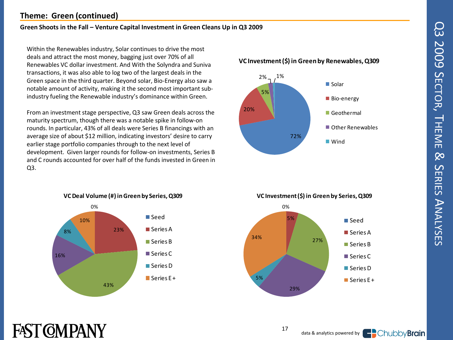#### **Theme: Green (continued)**

#### **Green Shoots in the Fall – Venture Capital Investment in Green Cleans Up in Q3 2009**

Within the Renewables industry, Solar continues to drive the most deals and attract the most money, bagging just over 70% of all Renewables VC dollar investment. And With the Solyndra and Suniva transactions, it was also able to log two of the largest deals in the Green space in the third quarter. Beyond solar, Bio-Energy also saw a notable amount of activity, making it the second most important subindustry fueling the Renewable industry's dominance within Green.

From an investment stage perspective, Q3 saw Green deals across the maturity spectrum, though there was a notable spike in follow-on rounds. In particular, 43% of all deals were Series B financings with an average size of about \$12 million, indicating investors' desire to carry earlier stage portfolio companies through to the next level of development. Given larger rounds for follow-on investments, Series B and C rounds accounted for over half of the funds invested in Green in Q3.



#### **VC Investment (\$) in Green by Renewables, Q309 VC Investment (\$) in Green by Renewables, Q309**



0 % **VC Investment (\$) in Green by Series, Q309** %<br>5% 27% 29% 5 % 34% **■** Seed ■ Series A ■ Series B ■ Series C Series D  $\blacksquare$  Series E +

17

## FAST COMPANY

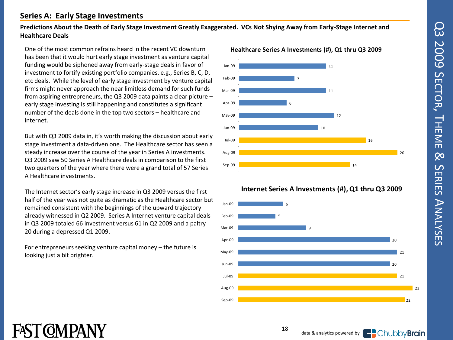#### **Series A: Early Stage Investments**

#### **Predictions About the Death of Early Stage Investment Greatly Exaggerated. VCs Not Shying Away from Early-Stage Internet and Healthcare Deals**

One of the most common refrains heard in the recent VC downturn has been that it would hurt early stage investment as venture capital funding would be siphoned away from early-stage deals in favor of investment to fortify existing portfolio companies, e.g., Series B, C, D, etc deals. While the level of early stage investment by venture capital firms might never approach the near limitless demand for such funds from aspiring entrepreneurs, the Q3 2009 data paints a clear picture – early stage investing is still happening and constitutes a significant number of the deals done in the top two sectors – healthcare and internet.

But with Q3 2009 data in, it's worth making the discussion about early stage investment a data-driven one. The Healthcare sector has seen a steady increase over the course of the year in Series A investments. Q3 2009 saw 50 Series A Healthcare deals in comparison to the first two quarters of the year where there were a grand total of 57 Series A Healthcare investments.

The Internet sector's early stage increase in Q3 2009 versus the first half of the year was not quite as dramatic as the Healthcare sector but remained consistent with the beginnings of the upward trajectory already witnessed in Q2 2009. Series A Internet venture capital deals in Q3 2009 totaled 66 investment versus 61 in Q2 2009 and a paltry 20 during a depressed Q1 2009.

For entrepreneurs seeking venture capital money – the future is looking just a bit brighter.



#### **Internet Series A Investments (#), Q1 thru Q3 2009**



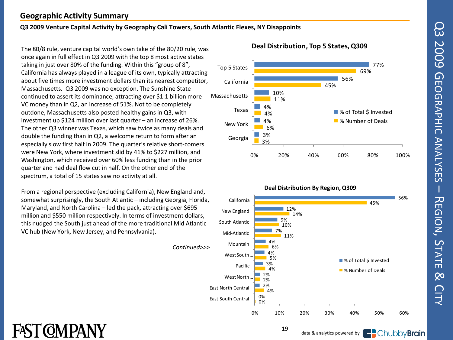#### **Geographic Activity Summary**

#### **Q3 2009 Venture Capital Activity by Geography Cali Towers, South Atlantic Flexes, NY Disappoints**

The 80/8 rule, venture capital world's own take of the 80/20 rule, was once again in full effect in Q3 2009 with the top 8 most active states taking in just over 80% of the funding. Within this "group of 8", California has always played in a league of its own, typically attracting about five times more investment dollars than its nearest competitor, Massachusetts. Q3 2009 was no exception. The Sunshine State continued to assert its dominance, attracting over \$1.1 billion more VC money than in Q2, an increase of 51%. Not to be completely outdone, Massachusetts also posted healthy gains in Q3, with investment up \$124 million over last quarter – an increase of 26%. The other Q3 winner was Texas, which saw twice as many deals and double the funding than in Q2, a welcome return to form after an especially slow first half in 2009. The quarter's relative short-comers were New York, where investment slid by 41% to \$227 million, and Washington, which received over 60% less funding than in the prior quarter and had deal flow cut in half. On the other end of the spectrum, a total of 15 states saw no activity at all.

From a regional perspective (excluding California), New England and, somewhat surprisingly, the South Atlantic – including Georgia, Florida, Maryland, and North Carolina – led the pack, attracting over \$695 million and \$550 million respectively. In terms of investment dollars, this nudged the South just ahead of the more traditional Mid Atlantic VC hub (New York, New Jersey, and Pennsylvania).



#### **Deal Distribution, Top 5 States, Q309**



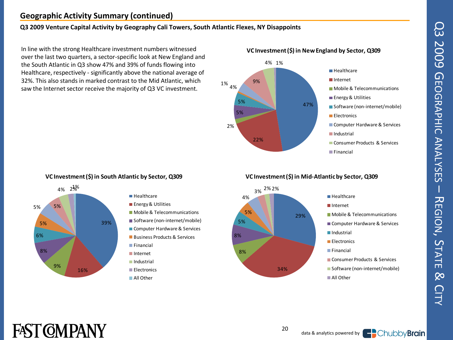### **Geographic Activity Summary (continued)**

#### **Q3 2009 Venture Capital Activity by Geography Cali Towers, South Atlantic Flexes, NY Disappoints**

In line with the strong Healthcare investment numbers witnessed over the last two quarters, a sector-specific look at New England and the South Atlantic in Q3 show 47% and 39% of funds flowing into Healthcare, respectively - significantly above the national average of 32%. This also stands in marked contrast to the Mid Atlantic, which saw the Internet sector receive the majority of Q3 VC investment.



#### **VC Investment (\$) in South Atlantic by Sector, Q309**



#### **■ Healthcare**

- **Energy & Utilities**
- **Mobile & Telecommunications**
- Software (non-internet/mobile)
- Computer Hardware & Services
- **Business Products & Services**
- **Financial**
- Internet
- Industrial
- **Electronics**
- All Other

#### **VC Investment (\$) in Mid-Atlantic by Sector, Q309**



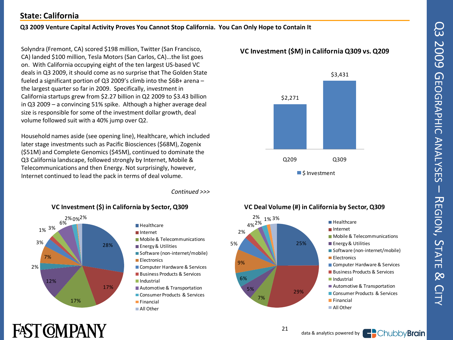#### **State: California**

#### **Q3 2009 Venture Capital Activity Proves You Cannot Stop California. You Can Only Hope to Contain It**

Solyndra (Fremont, CA) scored \$198 million, Twitter (San Francisco, CA) landed \$100 million, Tesla Motors (San Carlos, CA)…the list goes on. With California occupying eight of the ten largest US-based VC deals in Q3 2009, it should come as no surprise that The Golden State fueled a significant portion of Q3 2009's climb into the \$6B+ arena – the largest quarter so far in 2009. Specifically, investment in California startups grew from \$2.27 billion in Q2 2009 to \$3.43 billion in Q3 2009 – a convincing 51% spike. Although a higher average deal size is responsible for some of the investment dollar growth, deal volume followed suit with a 40% jump over Q2.

Household names aside (see opening line), Healthcare, which included later stage investments such as Pacific Biosciences (\$68M), Zogenix (\$51M) and Complete Genomics (\$45M), continued to dominate the Q3 California landscape, followed strongly by Internet, Mobile & Telecommunications and then Energy. Not surprisingly, however, Internet continued to lead the pack in terms of deal volume.

*Continued >>>*





#### **V C Investment (\$M) in California Q309 vs. Q209**



#### **VC Deal Volume (#) in California by Sector, Q309**



21

## FAST COMPANY

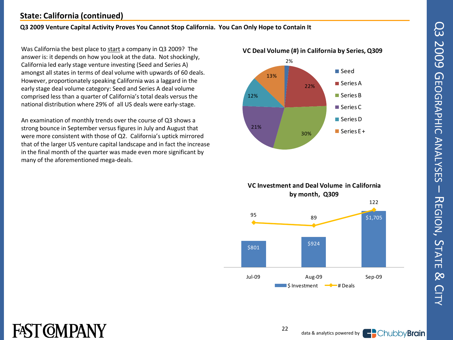### **State: California (continued)**

#### **Q3 2009 Venture Capital Activity Proves You Cannot Stop California. You Can Only Hope to Contain It**

Was California the best place to start a company in Q3 2009? The answer is: it depends on how you look at the data. Not shockingly, California led early stage venture investing (Seed and Series A) amongst all states in terms of deal volume with upwards of 60 deals. However, proportionately speaking California was a laggard in the early stage deal volume category: Seed and Series A deal volume comprised less than a quarter of California's total deals versus the national distribution where 29% of all US deals were early-stage.

An examination of monthly trends over the course of Q3 shows a strong bounce in September versus figures in July and August that were more consistent with those of Q2. California's uptick mirrored that of the larger US venture capital landscape and in fact the increase in the final month of the quarter was made even more significant by many of the aforementioned mega-deals.





 $22$ 

## FASI (OMPANY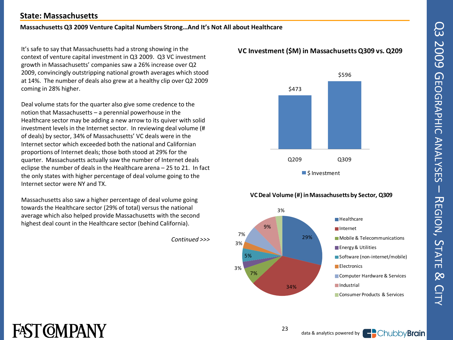#### **State: Massachusetts**

#### **Massachusetts Q3 2009 Venture Capital Numbers Strong…And It's Not All about Healthcare**

It's safe to say that Massachusetts had a strong showing in the context of venture capital investment in Q3 2009. Q3 VC investment growth in Massachusetts' companies saw a 26% increase over Q2 2009, convincingly outstripping national growth averages which stood at 14%. The number of deals also grew at a healthy clip over Q2 2009 coming in 28% higher.

Deal volume stats for the quarter also give some credence to the notion that Massachusetts – a perennial powerhouse in the Healthcare sector may be adding a new arrow to its quiver with solid investment levels in the Internet sector. In reviewing deal volume (# of deals) by sector, 34% of Massachusetts' VC deals were in the Internet sector which exceeded both the national and Californian proportions of Internet deals; those both stood at 29% for the quarter. Massachusetts actually saw the number of Internet deals eclipse the number of deals in the Healthcare arena – 25 to 21. In fact the only states with higher percentage of deal volume going to the Internet sector were NY and TX.

Massachusetts also saw a higher percentage of deal volume going towards the Healthcare sector (29% of total) versus the national average which also helped provide Massachusetts with the second highest deal count in the Healthcare sector (behind California).

*Continued >>>*

#### **V C Investment (\$M) in Massachusetts Q309 vs. Q209**



#### **VC Deal Volume (#) in Massachusetts by Sector, Q309**



## FAST COMPANY

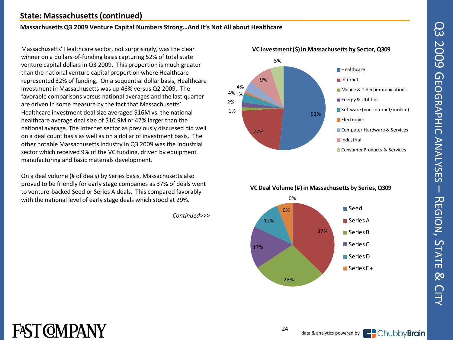#### **State: Massachusetts (continued)**

#### **Massachusetts Q3 2009 Venture Capital Numbers Strong…And It's Not All about Healthcare**

Massachusetts' Healthcare sector, not surprisingly, was the clear winner on a dollars -of -funding basis capturing 52% of total state venture capital dollars in Q3 2009. This proportion is much greater than the national venture capital proportion where Healthcare represented 32% of funding. On a sequential dollar basis, Healthcare investment in Massachusetts was up 46% versus Q2 2009. The favorable comparisons versus national averages and the last quarter are driven in some measure by the fact that Massachusetts' Healthcare investment deal size averaged \$16M vs. the national healthcare average deal size of \$10.9M or 47% larger than the national average. The Internet sector as previously discussed did well on a deal count basis as well as on a dollar of investment basis. The other notable Massachusetts industry in Q3 2009 was the Industrial sector which received 9% of the VC funding, driven by equipment manufacturing and basic materials development.

On a deal volume (# of deals) by Series basis, Massachusetts also proved to be friendly for early stage companies as 37% of deals went to venture -backed Seed or Series A deals. This compared favorably with the national level of early stage deals which stood at 29%.

*Continued>>>*







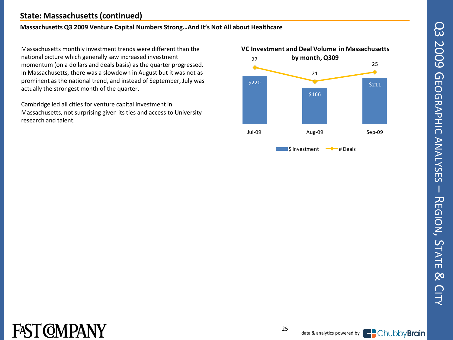### **State: Massachusetts (continued)**

#### **Massachusetts Q3 2009 Venture Capital Numbers Strong…And It's Not All about Healthcare**

Massachusetts monthly investment trends were different than the national picture which generally saw increased investment momentum (on a dollars and deals basis) as the quarter progressed. In Massachusetts, there was a slowdown in August but it was not as prominent as the national trend, and instead of September, July was actually the strongest month of the quarter.

Cambridge led all cities for venture capital investment in Massachusetts, not surprising given its ties and access to University research and talent.





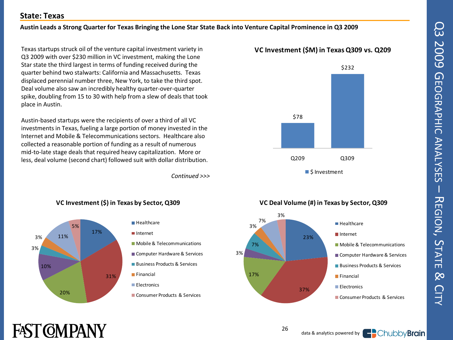# Q3 2009 GQ3 2009 GEOGRAPHIC ANALYSES EOGRAPHIC ANALYSES  $\overline{\phantom{a}}$ 고 EGIONຸ<br>ທ TATE  $\infty$ **CITY**

#### **State: Texas**

#### **Austin Leads a Strong Quarter for Texas Bringing the Lone Star State Back into Venture Capital Prominence in Q3 2009**

Texas startups struck oil of the venture capital investment variety in Q3 2009 with over \$230 million in VC investment, making the Lone Star state the third largest in terms of funding received during the quarter behind two stalwarts: California and Massachusetts. Texas displaced perennial number three, New York, to take the third spot. Deal volume also saw an incredibly healthy quarter-over-quarter spike, doubling from 15 to 30 with help from a slew of deals that took place in Austin.

Austin-based startups were the recipients of over a third of all VC investments in Texas, fueling a large portion of money invested in the Internet and Mobile & Telecommunications sectors. Healthcare also collected a reasonable portion of funding as a result of numerous mid-to-late stage deals that required heavy capitalization. More or less, deal volume (second chart) followed suit with dollar distribution.

*Continued >>>*

Consumer Products & Services



#### **VC Investment (\$) in Texas by Sector, Q309**

#### **V C Investment (\$M) in Texas Q309 vs. Q209**





## FAST COMPANY

20%



26

3 %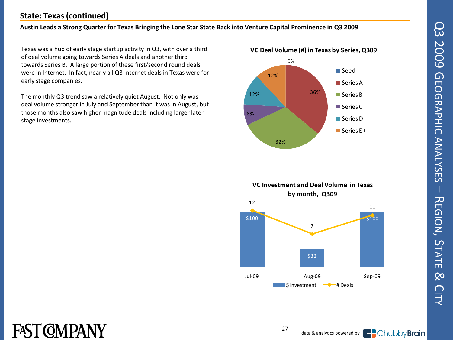# Q3 2009 GQ3 2009 GEOGRAPHIC ANALYSES EOGRAPHIC ANALYSES  $\overline{\phantom{a}}$ 고 EGIONຸ<br>ທ TATE  $\infty$ **CITY**

### **State: Texas (continued)**

#### **Austin Leads a Strong Quarter for Texas Bringing the Lone Star State Back into Venture Capital Prominence in Q3 2009**

Texas was a hub of early stage startup activity in Q3, with over a third of deal volume going towards Series A deals and another third towards Series B. A large portion of these first/second round deals were in Internet. In fact, nearly all Q3 Internet deals in Texas were for early stage companies.

The monthly Q3 trend saw a relatively quiet August. Not only was deal volume stronger in July and September than it was in August, but those months also saw higher magnitude deals including larger later stage investments.







27

## FAST COMPANY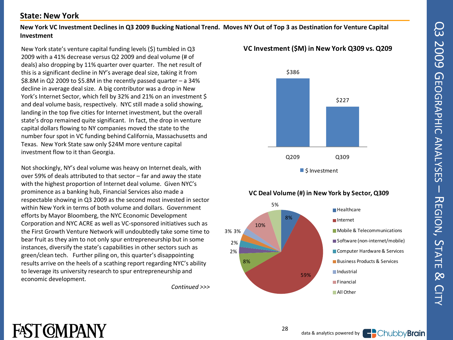#### **State: New York**

#### **New York VC Investment Declines in Q3 2009 Bucking National Trend. Moves NY Out of Top 3 as Destination for Venture Capital Investment**

New York state's venture capital funding levels (\$) tumbled in Q3 2009 with a 41% decrease versus Q2 2009 and deal volume (# of deals) also dropping by 11% quarter over quarter. The net result of this is a significant decline in NY's average deal size, taking it from \$8.8M in Q2 2009 to \$5.8M in the recently passed quarter – a 34% decline in average deal size. A big contributor was a drop in New York's Internet Sector, which fell by 32% and 21% on an investment \$ and deal volume basis, respectively. NYC still made a solid showing, landing in the top five cities for Internet investment, but the overall state's drop remained quite significant. In fact, the drop in venture capital dollars flowing to NY companies moved the state to the number four spot in VC funding behind California, Massachusetts and Texas. New York State saw only \$24M more venture capital investment flow to it than Georgia.

Not shockingly, NY's deal volume was heavy on Internet deals, with over 59% of deals attributed to that sector – far and away the state with the highest proportion of Internet deal volume. Given NYC's prominence as a banking hub, Financial Services also made a respectable showing in Q3 2009 as the second most invested in sector within New York in terms of both volume and dollars. Government efforts by Mayor Bloomberg, the NYC Economic Development Corporation and NYC ACRE as well as VC-sponsored initiatives such as the First Growth Venture Network will undoubtedly take some time to bear fruit as they aim to not only spur entrepreneurship but in some instances, diversify the state's capabilities in other sectors such as green/clean tech. Further piling on, this quarter's disappointing results arrive on the heels of a scathing report regarding NYC's ability to leverage its university research to spur entrepreneurship and economic development.

*Continued >>>*

#### **V C Investment (\$M) in New York Q309 vs. Q209**



#### 8 % 59% 8 % 2%<br>2%  $\frac{1}{2}$ <br>2% 3% 3% 10% **VC Deal Volume (#) in New York by Sector, Q309**<br>5% **Healthcare** Internet **Mobile & Telecommunications** Software (non-internet/mobile) Computer Hardware & Services **Business Products & Services Industrial Financial All Other**

## **FAST COMPANY**

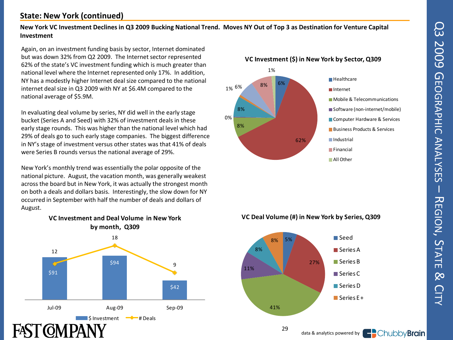#### **State: New York (continued)**

#### **New York VC Investment Declines in Q3 2009 Bucking National Trend. Moves NY Out of Top 3 as Destination for Venture Capital Investment**

Again, on an investment funding basis by sector, Internet dominated but was down 32% from Q2 2009. The Internet sector represented 62% of the state's VC investment funding which is much greater than national level where the Internet represented only 17%. In addition, NY has a modestly higher Internet deal size compared to the national internet deal size in Q3 2009 with NY at \$6.4M compared to the national average of \$5.9M.

In evaluating deal volume by series, NY did well in the early stage bucket (Series A and Seed) with 32% of investment deals in these early stage rounds. This was higher than the national level which had 29% of deals go to such early stage companies. The biggest difference in NY's stage of investment versus other states was that 41% of deals were Series B rounds versus the national average of 29%.

New York's monthly trend was essentially the polar opposite of the national picture. August, the vacation month, was generally weakest across the board but in New York, it was actually the strongest month on both a deals and dollars basis. Interestingly, the slow down for NY occurred in September with half the number of deals and dollars of August.



## **VC Investment and Deal Volume in New York**



#### **VC Deal Volume (#) in New York by Series, Q309**



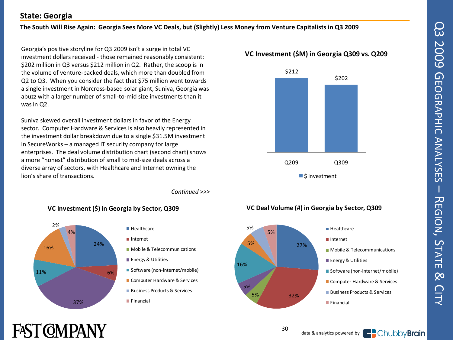# Q3 2009 GQ3 2009 GEOGRAPHIC ANALYSES EOGRAPHIC ANALYSES – 고 EGIONຸ<br>ທ TATE  $\infty$ **CITY**

### **State: Georgia**

#### **The South Will Rise Again: Georgia Sees More VC Deals, but (Slightly) Less Money from Venture Capitalists in Q3 2009**

Georgia's positive storyline for Q3 2009 isn't a surge in total VC investment dollars received - those remained reasonably consistent: \$202 million in Q3 versus \$212 million in Q2. Rather, the scoop is in the volume of venture-backed deals, which more than doubled from Q2 to Q3. When you consider the fact that \$75 million went towards a single investment in Norcross-based solar giant, Suniva, Georgia was abuzz with a larger number of small-to-mid size investments than it was in Q2.

Suniva skewed overall investment dollars in favor of the Energy sector. Computer Hardware & Services is also heavily represented in the investment dollar breakdown due to a single \$31.5M investment in SecureWorks – a managed IT security company for large enterprises. The deal volume distribution chart (second chart) shows a more "honest" distribution of small to mid-size deals across a diverse array of sectors, with Healthcare and Internet owning the lion's share of transactions.

*Continued >>>*



#### **VC Investment (\$) in Georgia by Sector, Q309**



#### **V C Investment (\$M) in Georgia Q309 vs. Q209**



#### **VC Deal Volume (#) in Georgia by Sector, Q309**





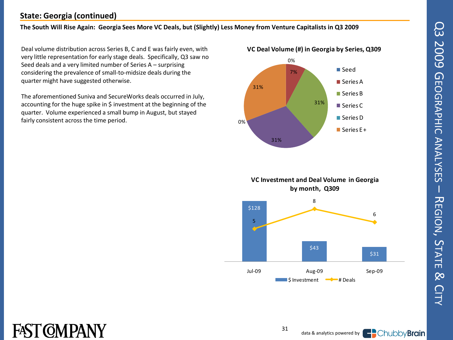# Q3 2009 GQ3 2009 GEOGRAPHIC ANALYSES EOGRAPHIC ANALYSES  $\overline{\phantom{a}}$ 고 EGIONຸ<br>ທ TATE  $\infty$ **CITY**

### **State: Georgia (continued)**

#### **The South Will Rise Again: Georgia Sees More VC Deals, but (Slightly) Less Money from Venture Capitalists in Q3 2009**

Deal volume distribution across Series B, C and E was fairly even, with very little representation for early stage deals. Specifically, Q3 saw no Seed deals and a very limited number of Series A – surprising considering the prevalence of small-to-midsize deals during the quarter might have suggested otherwise.

The aforementioned Suniva and SecureWorks deals occurred in July, accounting for the huge spike in \$ investment at the beginning of the quarter. Volume experienced a small bump in August, but stayed fairly consistent across the time period.





#### **VC Investment and Deal Volume in Georgia by month, Q309**



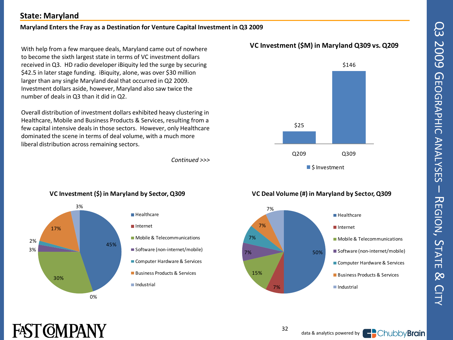# Q3 2009 GQ3 2009 GEOGRAPHIC ANALYSES EOGRAPHIC ANALYSES  $\overline{\phantom{a}}$ 고 EGIONຸ<br>ທ TATE  $\infty$ **CITY**

### **State: Maryland**

#### **Maryland Enters the Fray as a Destination for Venture Capital Investment in Q3 2009**

With help from a few marquee deals, Maryland came out of nowhere to become the sixth largest state in terms of VC investment dollars received in Q3. HD radio developer iBiquity led the surge by securing \$42.5 in later stage funding. iBiquity, alone, was over \$30 million larger than any single Maryland deal that occurred in Q2 2009. Investment dollars aside, however, Maryland also saw twice the number of deals in Q3 than it did in Q2.

Overall distribution of investment dollars exhibited heavy clustering in Healthcare, Mobile and Business Products & Services, resulting from a few capital intensive deals in those sectors. However, only Healthcare dominated the scene in terms of deal volume, with a much more liberal distribution across remaining sectors.

*Continued >>>*





### 45% 0 % 30% 3 % 2 % 17% **VC Investment (\$) in Maryland by Sector, Q309**<br>3% **Healthcare** Internet Industrial

**Mobile & Telecommunications** ■ Software (non-internet/mobile) Computer Hardware & Services ■ Business Products & Services

#### **VC Deal Volume (#) in Maryland by Sector, Q309**





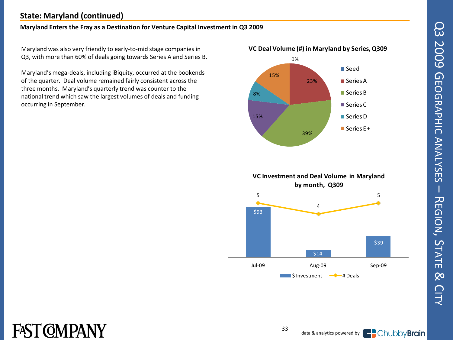### **State: Maryland (continued)**

#### **Maryland Enters the Fray as a Destination for Venture Capital Investment in Q3 2009**

Maryland was also very friendly to early -to -mid stage companies in Q3, with more than 60% of deals going towards Series A and Series B.

Maryland's mega -deals, including iBiquity, occurred at the bookends of the quarter. Deal volume remained fairly consistent across the three months. Maryland's quarterly trend was counter to the national trend which saw the largest volumes of deals and funding occurring in September.





### **VC Investment and Deal Volume in Maryland by month, Q309**



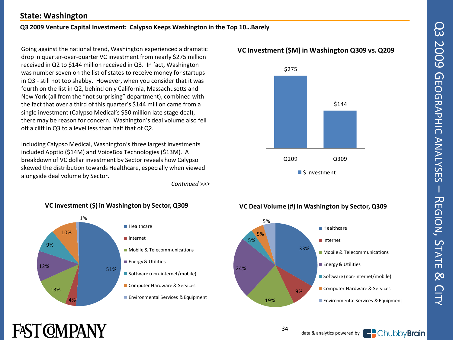#### **State: Washington**

#### **Q3 2009 Venture Capital Investment: Calypso Keeps Washington in the Top 10…Barely**

Going against the national trend, Washington experienced a dramatic drop in quarter-over-quarter VC investment from nearly \$275 million received in Q2 to \$144 million received in Q3. In fact, Washington was number seven on the list of states to receive money for startups in Q3 - still not too shabby. However, when you consider that it was fourth on the list in Q2, behind only California, Massachusetts and New York (all from the "not surprising" department), combined with the fact that over a third of this quarter's \$144 million came from a single investment (Calypso Medical's \$50 million late stage deal), there may be reason for concern. Washington's deal volume also fell off a cliff in Q3 to a level less than half that of Q2.

Including Calypso Medical, Washington's three largest investments included Apptio (\$14M) and VoiceBox Technologies (\$13M). A breakdown of VC dollar investment by Sector reveals how Calypso skewed the distribution towards Healthcare, especially when viewed alongside deal volume by Sector.

*Continued >>>*



#### **V C Investment (\$M) in Washington Q309 vs. Q209**



#### 33% 9 % 24% 5 % 5 % 5 % **VC Deal Volume (#) in Washington by Sector, Q309 Healthcare** Internet **Mobile & Telecommunications Energy & Utilities** Software (non-internet/mobile) Computer Hardware & Services

## FAST (OMPANY



34

19%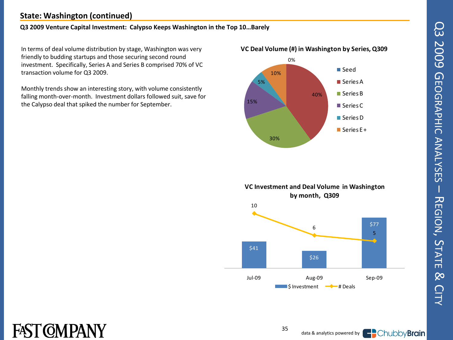#### **State: Washington (continued)**

#### **Q3 2009 Venture Capital Investment: Calypso Keeps Washington in the Top 10…Barely**

In terms of deal volume distribution by stage, Washington was very friendly to budding startups and those securing second round investment. Specifically, Series A and Series B comprised 70% of VC transaction volume for Q3 2009.

Monthly trends show an interesting story, with volume consistently falling month-over-month. Investment dollars followed suit, save for the Calypso deal that spiked the number for September.



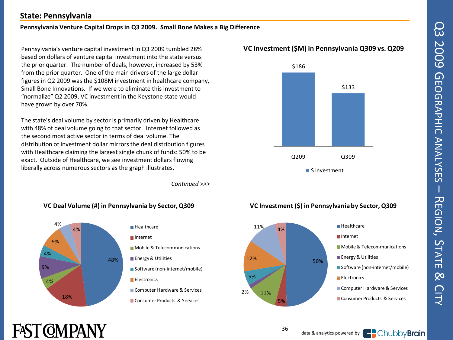### **State: Pennsylvania**

#### **Pennsylvania Venture Capital Drops in Q3 2009. Small Bone Makes a Big Difference**

Pennsylvania's venture capital investment in Q3 2009 tumbled 28% based on dollars of venture capital investment into the state versus the prior quarter. The number of deals, however, increased by 53% from the prior quarter. One of the main drivers of the large dollar figures in Q2 2009 was the \$108M investment in healthcare company, Small Bone Innovations. If we were to eliminate this investment to "normalize" Q2 2009, VC investment in the Keystone state would have grown by over 70%.

The state's deal volume by sector is primarily driven by Healthcare with 48% of deal volume going to that sector. Internet followed as the second most active sector in terms of deal volume. The distribution of investment dollar mirrors the deal distribution figures with Healthcare claiming the largest single chunk of funds: 50% to be exact. Outside of Healthcare, we see investment dollars flowing liberally across numerous sectors as the graph illustrates.

*Continued >>>*

#### **VC Deal Volume (#) in Pennsylvania by Sector, Q309**



#### **V C Investment (\$M) in Pennsylvania Q309 vs. Q209**



#### **VC Investment (\$) in Pennsylvania by Sector, Q309**



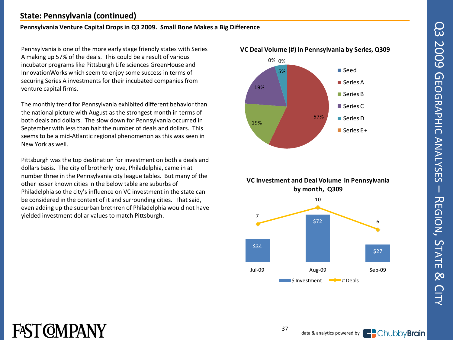### **State: Pennsylvania (continued)**

#### **Pennsylvania Venture Capital Drops in Q3 2009. Small Bone Makes a Big Difference**

Pennsylvania is one of the more early stage friendly states with Series A making up 57% of the deals. This could be a result of various incubator programs like Pittsburgh Life sciences GreenHouse and InnovationWorks which seem to enjoy some success in terms of securing Series A investments for their incubated companies from venture capital firms.

The monthly trend for Pennsylvania exhibited different behavior than the national picture with August as the strongest month in terms of both deals and dollars. The slow down for Pennsylvania occurred in September with less than half the number of deals and dollars. This seems to be a mid -Atlantic regional phenomenon as this was seen in New York as well.

Pittsburgh was the top destination for investment on both a deals and dollars basis. The city of brotherly love, Philadelphia, came in at number three in the Pennsylvania city league tables. But many of the other lesser known cities in the below table are suburbs of Philadelphia so the city's influence on VC investment in the state can be considered in the context of it and surrounding cities. That said, even adding up the suburban brethren of Philadelphia would not have yielded investment dollar values to match Pittsburgh.







 $\blacksquare$  S Investment  $\blacksquare$   $\blacklozenge$   $\blacksquare$  # Deals

## FAST COMPANY

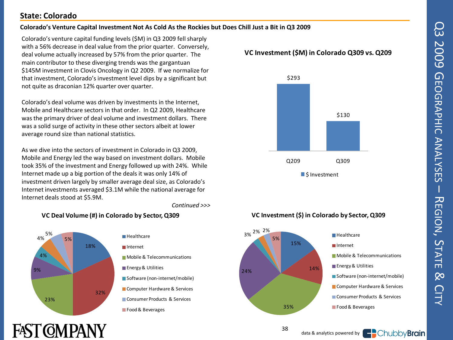### **State: Colorado**

#### **Colorado's Venture Capital Investment Not As Cold As the Rockies but Does Chill Just a Bit in Q3 2009**

Colorado's venture capital funding levels (\$M) in Q3 2009 fell sharply with a 56% decrease in deal value from the prior quarter. Conversely, deal volume actually increased by 57% from the prior quarter. The main contributor to these diverging trends was the gargantuan \$145M investment in Clovis Oncology in Q2 2009. If we normalize for that investment, Colorado's investment level dips by a significant but not quite as draconian 12% quarter over quarter.

Colorado's deal volume was driven by investments in the Internet, Mobile and Healthcare sectors in that order. In Q2 2009, Healthcare was the primary driver of deal volume and investment dollars. There was a solid surge of activity in these other sectors albeit at lower average round size than national statistics.

As we dive into the sectors of investment in Colorado in Q3 2009, Mobile and Energy led the way based on investment dollars. Mobile took 35% of the investment and Energy followed up with 24%. While Internet made up a big portion of the deals it was only 14% of investment driven largely by smaller average deal size, as Colorado's Internet investments averaged \$3.1M while the national average for Internet deals stood at \$5.9M.

*Continued >>>*

### **VC Deal Volume (#) in Colorado by Sector, Q309**



#### **V C Investment (\$M) in Colorado Q309 vs. Q209**



### **VC Investment (\$) in Colorado by Sector, Q309**



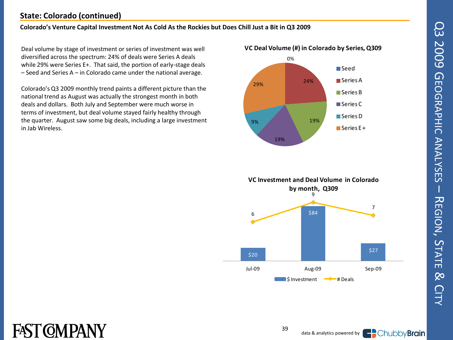# Q3 2009 GQ3 2009 GEOGRAPHIC ANALYSES EOGRAPHIC ANALYSES  $\overline{\phantom{a}}$ 고 EGIONຸ<br>ທ TATE  $\infty$ **CITY**

### **State: Colorado (continued)**

#### **Colorado's Venture Capital Investment Not As Cold As the Rockies but Does Chill Just a Bit in Q3 2009**

Deal volume by stage of investment or series of investment was well diversified across the spectrum: 24% of deals were Series A deals while 29% were Series E+. That said, the portion of early-stage deals – Seed and Series A – in Colorado came under the national average.

Colorado's Q3 2009 monthly trend paints a different picture than the national trend as August was actually the strongest month in both deals and dollars. Both July and September were much worse in terms of investment, but deal volume stayed fairly healthy through the quarter. August saw some big deals, including a large investment in Jab Wireless.







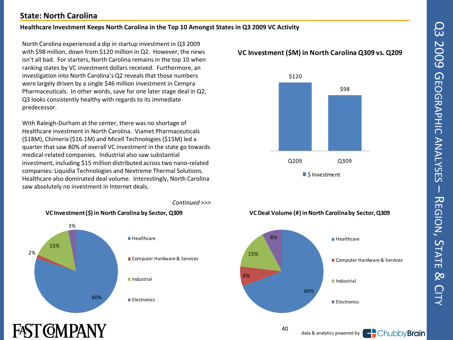#### **State: North Carolina**

#### **Healthcare Investment Keeps North Carolina in the Top 10 Amongst States in Q3 2009 VC Activity**

North Carolina experienced a dip in startup investment in Q3 2009 with \$98 million, down from \$120 million in Q2. However, the news isn't all bad. For starters, North Carolina remains in the top 10 when ranking states by VC investment dollars received. Furthermore, an investigation into North Carolina's Q2 reveals that those numbers were largely driven by a single \$46 million investment in Cempra Pharmaceuticals. In other words, save for one later stage deal in Q2, Q3 looks consistently healthy with regards to its immediate predecessor.

With Raleigh-Durham at the center, there was no shortage of Healthcare investment in North Carolina. Viamet Pharmaceuticals (\$18M), Chimerix (\$16.1M) and Micell Technologies (\$15M) led a quarter that saw 80% of overall VC investment in the state go towards medical-related companies. Industrial also saw substantial investment, including \$15 million distributed across two nano-related companies: Liquidia Technologies and Nextreme Thermal Solutions. Healthcare also dominated deal volume. Interestingly, North Carolina saw absolutely no investment in Internet deals.



FAST (OMPANY

#### **V C Investment (\$M) in North Carolina Q309 vs. Q209**



## 69% 8 % 15% 8 % **VC Deal Volume (#) in North Carolina by Sector, Q309 Healthcare** Computer Hardware & Services Industrial **Electronics**

40



#### *Continued >>>*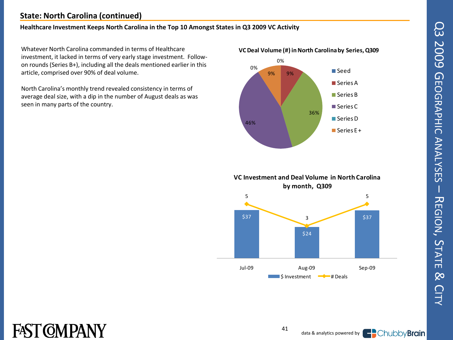### **State: North Carolina (continued)**

#### **Healthcare Investment Keeps North Carolina in the Top 10 Amongst States in Q3 2009 VC Activity**

Whatever North Carolina commanded in terms of Healthcare investment, it lacked in terms of very early stage investment. Followon rounds (Series B+), including all the deals mentioned earlier in this article, comprised over 90% of deal volume.

North Carolina's monthly trend revealed consistency in terms of average deal size, with a dip in the number of August deals as was seen in many parts of the country.





#### **VC Investment and Deal Volume in North Carolina by month, Q309**



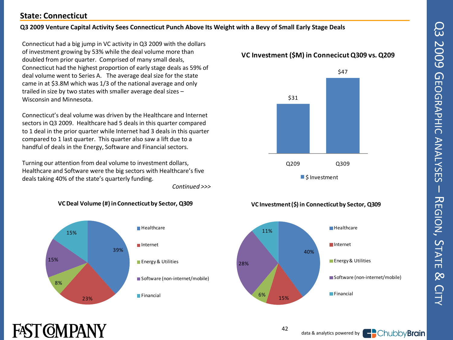#### **State: Connecticut**

FAST (OMPANY

#### **Q3 2009 Venture Capital Activity Sees Connecticut Punch Above Its Weight with a Bevy of Small Early Stage Deals**

Connecticut had a big jump in VC activity in Q3 2009 with the dollars of investment growing by 53% while the deal volume more than doubled from prior quarter. Comprised of many small deals, Connecticut had the highest proportion of early stage deals as 59% of deal volume went to Series A. The average deal size for the state came in at \$3.8M which was 1/3 of the national average and only trailed in size by two states with smaller average deal sizes – Wisconsin and Minnesota.

Connecticut's deal volume was driven by the Healthcare and Internet sectors in Q3 2009. Healthcare had 5 deals in this quarter compared to 1 deal in the prior quarter while Internet had 3 deals in this quarter compared to 1 last quarter. This quarter also saw a lift due to a handful of deals in the Energy, Software and Financial sectors.

Turning our attention from deal volume to investment dollars, Healthcare and Software were the big sectors with Healthcare's five deals taking 40% of the state's quarterly funding.

*Continued >>>*



#### **VC Deal Volume (#) in Connecticut by Sector, Q309**





#### **VC Investment (\$) in Connecticut by Sector, Q309**



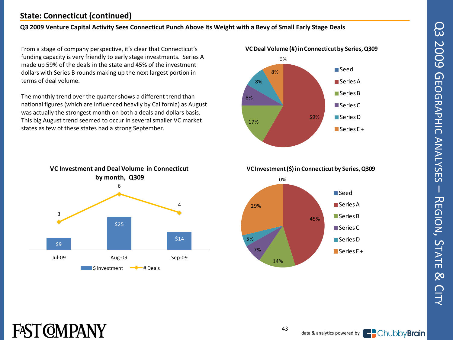#### **State: Connecticut (continued)**

#### **Q3 2009 Venture Capital Activity Sees Connecticut Punch Above Its Weight with a Bevy of Small Early Stage Deals**

From a stage of company perspective, it's clear that Connecticut's funding capacity is very friendly to early stage investments. Series A made up 59% of the deals in the state and 45% of the investment dollars with Series B rounds making up the next largest portion in terms of deal volume.

The monthly trend over the quarter shows a different trend than national figures (which are influenced heavily by California) as August was actually the strongest month on both a deals and dollars basis. This big August trend seemed to occur in several smaller VC market states as few of these states had a strong September.